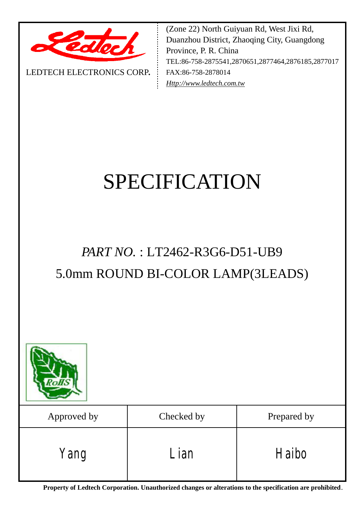

LEDTECH ELECTRONICS CORP**.**

(Zone 22) North Guiyuan Rd, West Jixi Rd, Duanzhou District, Zhaoqing City, Guangdong Province, P. R. China TEL:86-758-2875541,2870651,2877464,2876185,2877017 FAX:86-758-2878014 *[Http://www.ledtech.com.tw](http://www.ledtech.com.tw)*

# SPECIFICATION

## *PART NO.* : LT2462-R3G6-D51-UB9 5.0mm ROUND BI-COLOR LAMP(3LEADS)



| Approved by | Checked by | Prepared by |
|-------------|------------|-------------|
| Yang        | Lian       | Haibo       |

**Property of Ledtech Corporation. Unauthorized changes or alterations to the specification are prohibited***.*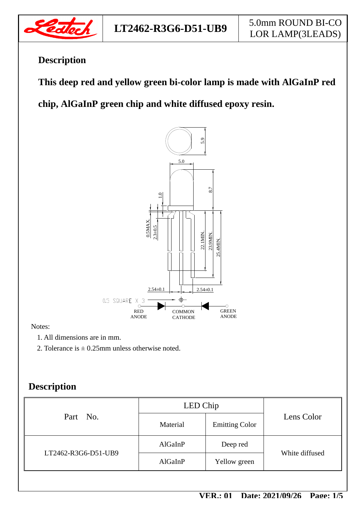

### **Description**

 **This deep red and yellow green bi-color lamp is made with AlGaInP red** 

**chip, AlGaInP green chip and white diffused epoxy resin.** 



#### Notes:

1. All dimensions are in mm.

2. Tolerance is  $\pm$  0.25mm unless otherwise noted.

#### **Description**

| Part No.            | LED Chip |                       |                |  |
|---------------------|----------|-----------------------|----------------|--|
|                     | Material | <b>Emitting Color</b> | Lens Color     |  |
| LT2462-R3G6-D51-UB9 | AlGaInP  | Deep red              | White diffused |  |
|                     | AlGaInP  | Yellow green          |                |  |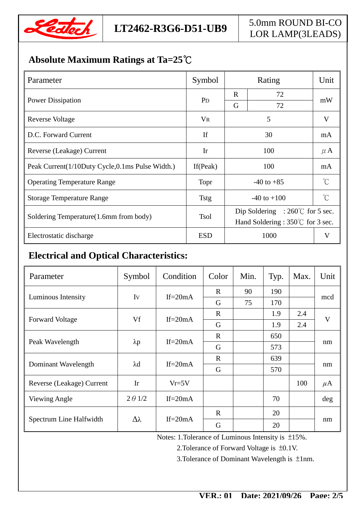

#### **Absolute Maximum Ratings at Ta=25℃**

| Parameter                                       | Symbol         | Rating                                   |              | Unit                |  |
|-------------------------------------------------|----------------|------------------------------------------|--------------|---------------------|--|
| <b>Power Dissipation</b>                        | P <sub>D</sub> | $\mathbf R$                              | 72           |                     |  |
|                                                 |                | G                                        | 72           | mW                  |  |
| Reverse Voltage                                 | <b>VR</b>      |                                          | V            |                     |  |
| D.C. Forward Current                            | If             |                                          | mA           |                     |  |
| Reverse (Leakage) Current                       | Ir             |                                          | $\mu$ A      |                     |  |
| Peak Current(1/10Duty Cycle,0.1ms Pulse Width.) | If $(Peak)$    |                                          | mA           |                     |  |
| <b>Operating Temperature Range</b>              | Topr           | $-40$ to $+85$                           |              | $\int_{0}^{\infty}$ |  |
| <b>Storage Temperature Range</b>                | <b>Tstg</b>    |                                          | $^{\circ}$ C |                     |  |
|                                                 | <b>Tsol</b>    | Dip Soldering : $260^{\circ}$ for 5 sec. |              |                     |  |
| Soldering Temperature(1.6mm from body)          |                | Hand Soldering: 350°C for 3 sec.         |              |                     |  |
| Electrostatic discharge                         | <b>ESD</b>     | 1000<br>V                                |              |                     |  |

#### **Electrical and Optical Characteristics:**

| Parameter                 | Symbol          | Condition  | Color        | Min. | Typ. | Max. | Unit    |
|---------------------------|-----------------|------------|--------------|------|------|------|---------|
| Luminous Intensity        | Iv              | If= $20mA$ | $\mathbf{R}$ | 90   | 190  |      | mcd     |
|                           |                 |            | G            | 75   | 170  |      |         |
| <b>Forward Voltage</b>    | Vf              | If= $20mA$ | $\mathbf R$  |      | 1.9  | 2.4  | V       |
|                           |                 |            | G            |      | 1.9  | 2.4  |         |
| Peak Wavelength           | $\lambda p$     | If= $20mA$ | $\mathbf{R}$ |      | 650  |      | nm      |
|                           |                 |            | G            |      | 573  |      |         |
| Dominant Wavelength       | $\lambda$ d     | If= $20mA$ | $\mathbf R$  |      | 639  |      | nm      |
|                           |                 |            | G            |      | 570  |      |         |
| Reverse (Leakage) Current | Ir              | $Vr=5V$    |              |      |      | 100  | $\mu$ A |
| <b>Viewing Angle</b>      | $2 \theta$ 1/2  | If= $20mA$ |              |      | 70   |      | deg     |
| Spectrum Line Halfwidth   | $\Delta\lambda$ |            | $\mathbf R$  |      | 20   |      |         |
|                           |                 | If= $20mA$ | G            |      | 20   |      | nm      |

Notes: 1.Tolerance of Luminous Intensity is ±15%.

2.Tolerance of Forward Voltage is ±0.1V.

3.Tolerance of Dominant Wavelength is ±1nm.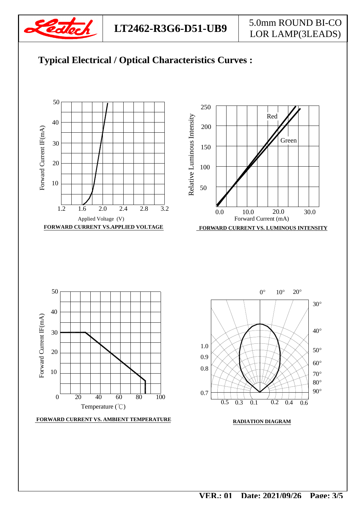

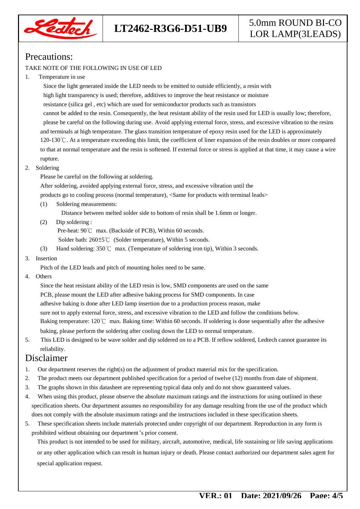

#### Precautions:

#### TAKE NOTE OF THE FOLLOWING IN USE OF LED

1. Temperature in use

 Since the light generated inside the LED needs to be emitted to outside efficiently, a resin with high light transparency is used; therefore, additives to improve the heat resistance or moisture resistance (silica gel , etc) which are used for semiconductor products such as transistors cannot be added to the resin. Consequently, the heat resistant ability of the resin used for LED is usually low; therefore, please be careful on the following during use. Avoid applying external force, stress, and excessive vibration to the resins and terminals at high temperature. The glass transition temperature of epoxy resin used for the LED is approximately 120-130℃. At a temperature exceeding this limit, the coefficient of liner expansion of the resin doubles or more compared to that at normal temperature and the resin is softened. If external force or stress is applied at that time, it may cause a wire rupture.

2. Soldering

Please be careful on the following at soldering.

After soldering, avoided applying external force, stress, and excessive vibration until the

products go to cooling process (normal temperature), <Same for products with terminal leads>

(1) Soldering measurements:

Distance between melted solder side to bottom of resin shall be 1.6mm or longer.

(2) Dip soldering :

Pre-heat: 90℃ max. (Backside of PCB), Within 60 seconds.

Solder bath: 260±5℃ (Solder temperature), Within 5 seconds.

- (3) Hand soldering: 350℃ max. (Temperature of soldering iron tip), Within 3 seconds.
- 3. Insertion

Pitch of the LED leads and pitch of mounting holes need to be same.

4. Others

 Since the heat resistant ability of the LED resin is low, SMD components are used on the same PCB, please mount the LED after adhesive baking process for SMD components. In case adhesive baking is done after LED lamp insertion due to a production process reason, make sure not to apply external force, stress, and excessive vibration to the LED and follow the conditions below. Baking temperature: 120℃ max. Baking time: Within 60 seconds. If soldering is done sequentially after the adhesive baking, please perform the soldering after cooling down the LED to normal temperature.

5. This LED is designed to be wave solder and dip soldered on to a PCB. If reflow soldered, Ledtech cannot guarantee its reliability.

#### Disclaimer

- 1. Our department reserves the right(s) on the adjustment of product material mix for the specification.
- 2. The product meets our department published specification for a period of twelve (12) months from date of shipment.
- 3. The graphs shown in this datasheet are representing typical data only and do not show guaranteed values.
- 4. When using this product, please observe the absolute maximum ratings and the instructions for using outlined in these specification sheets. Our department assumes no responsibility for any damage resulting from the use of the product which does not comply with the absolute maximum ratings and the instructions included in these specification sheets.
- 5. These specification sheets include materials protected under copyright of our department. Reproduction in any form is prohibited without obtaining our department's prior consent.

This product is not intended to be used for military, aircraft, automotive, medical, life sustaining or life saving applications or any other application which can result in human injury or death. Please contact authorized our department sales agent for special application request.